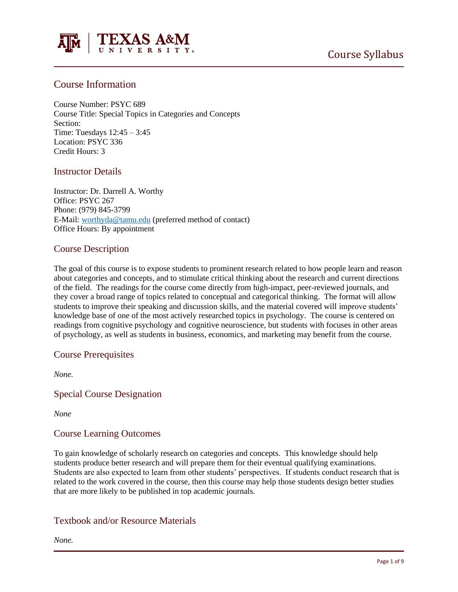

# Course Information

Course Number: PSYC 689 Course Title: Special Topics in Categories and Concepts Section: Time: Tuesdays 12:45 – 3:45 Location: PSYC 336 Credit Hours: 3

# Instructor Details

Instructor: Dr. Darrell A. Worthy Office: PSYC 267 Phone: (979) 845-3799 E-Mail: [worthyda@tamu.edu](mailto:worthyda@tamu.edu) (preferred method of contact) Office Hours: By appointment

# Course Description

The goal of this course is to expose students to prominent research related to how people learn and reason about categories and concepts, and to stimulate critical thinking about the research and current directions of the field. The readings for the course come directly from high-impact, peer-reviewed journals, and they cover a broad range of topics related to conceptual and categorical thinking. The format will allow students to improve their speaking and discussion skills, and the material covered will improve students' knowledge base of one of the most actively researched topics in psychology. The course is centered on readings from cognitive psychology and cognitive neuroscience, but students with focuses in other areas of psychology, as well as students in business, economics, and marketing may benefit from the course.

## Course Prerequisites

*None.*

Special Course Designation

*None*

## Course Learning Outcomes

To gain knowledge of scholarly research on categories and concepts. This knowledge should help students produce better research and will prepare them for their eventual qualifying examinations. Students are also expected to learn from other students' perspectives. If students conduct research that is related to the work covered in the course, then this course may help those students design better studies that are more likely to be published in top academic journals.

# Textbook and/or Resource Materials

*None.*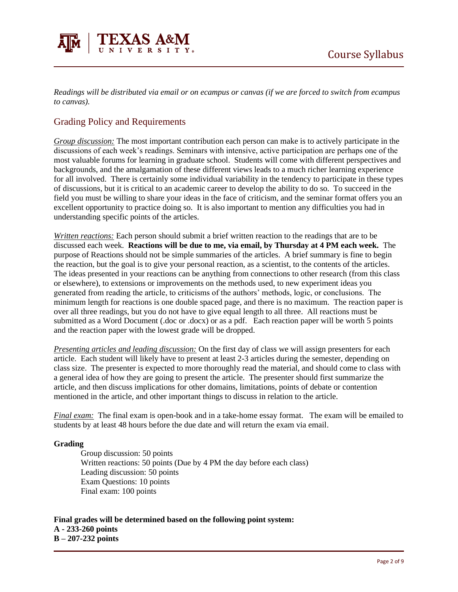

*Readings will be distributed via email or on ecampus or canvas (if we are forced to switch from ecampus to canvas).* 

# Grading Policy and Requirements

*Group discussion:* The most important contribution each person can make is to actively participate in the discussions of each week's readings. Seminars with intensive, active participation are perhaps one of the most valuable forums for learning in graduate school. Students will come with different perspectives and backgrounds, and the amalgamation of these different views leads to a much richer learning experience for all involved. There is certainly some individual variability in the tendency to participate in these types of discussions, but it is critical to an academic career to develop the ability to do so. To succeed in the field you must be willing to share your ideas in the face of criticism, and the seminar format offers you an excellent opportunity to practice doing so. It is also important to mention any difficulties you had in understanding specific points of the articles.

*Written reactions:* Each person should submit a brief written reaction to the readings that are to be discussed each week. **Reactions will be due to me, via email, by Thursday at 4 PM each week.** The purpose of Reactions should not be simple summaries of the articles. A brief summary is fine to begin the reaction, but the goal is to give your personal reaction, as a scientist, to the contents of the articles. The ideas presented in your reactions can be anything from connections to other research (from this class or elsewhere), to extensions or improvements on the methods used, to new experiment ideas you generated from reading the article, to criticisms of the authors' methods, logic, or conclusions. The minimum length for reactions is one double spaced page, and there is no maximum. The reaction paper is over all three readings, but you do not have to give equal length to all three. All reactions must be submitted as a Word Document (.doc or .docx) or as a pdf. Each reaction paper will be worth 5 points and the reaction paper with the lowest grade will be dropped.

*Presenting articles and leading discussion:* On the first day of class we will assign presenters for each article. Each student will likely have to present at least 2-3 articles during the semester, depending on class size. The presenter is expected to more thoroughly read the material, and should come to class with a general idea of how they are going to present the article. The presenter should first summarize the article, and then discuss implications for other domains, limitations, points of debate or contention mentioned in the article, and other important things to discuss in relation to the article.

*Final exam:* The final exam is open-book and in a take-home essay format. The exam will be emailed to students by at least 48 hours before the due date and will return the exam via email.

### **Grading**

Group discussion: 50 points Written reactions: 50 points (Due by 4 PM the day before each class) Leading discussion: 50 points Exam Questions: 10 points Final exam: 100 points

**Final grades will be determined based on the following point system:**

**A - 233-260 points B – 207-232 points**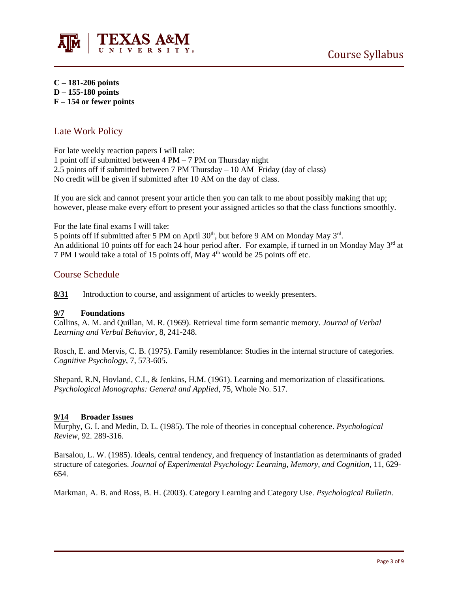

**C – 181-206 points D – 155-180 points F – 154 or fewer points**

# Late Work Policy

For late weekly reaction papers I will take:

1 point off if submitted between 4 PM – 7 PM on Thursday night  $2.\overline{5}$  points off if submitted between 7 PM Thursday – 10 AM Friday (day of class) No credit will be given if submitted after 10 AM on the day of class.

If you are sick and cannot present your article then you can talk to me about possibly making that up; however, please make every effort to present your assigned articles so that the class functions smoothly.

For the late final exams I will take:

5 points off if submitted after 5 PM on April  $30<sup>th</sup>$ , but before 9 AM on Monday May  $3<sup>rd</sup>$ . An additional 10 points off for each 24 hour period after. For example, if turned in on Monday May 3<sup>rd</sup> at 7 PM I would take a total of 15 points off, May  $4<sup>th</sup>$  would be 25 points off etc.

# Course Schedule

**8/31** Introduction to course, and assignment of articles to weekly presenters.

### **9/7 Foundations**

Collins, A. M. and Quillan, M. R. (1969). Retrieval time form semantic memory. *Journal of Verbal Learning and Verbal Behavior*, 8, 241-248.

Rosch, E. and Mervis, C. B. (1975). Family resemblance: Studies in the internal structure of categories. *Cognitive Psychology*, 7, 573-605.

Shepard, R.N, Hovland, C.I., & Jenkins, H.M. (1961). Learning and memorization of classifications. *Psychological Monographs: General and Applied*, 75, Whole No. 517.

### **9/14 Broader Issues**

Murphy, G. I. and Medin, D. L. (1985). The role of theories in conceptual coherence. *Psychological Review*, 92. 289-316.

Barsalou, L. W. (1985). Ideals, central tendency, and frequency of instantiation as determinants of graded structure of categories. *Journal of Experimental Psychology: Learning, Memory, and Cognition*, 11, 629- 654.

Markman, A. B. and Ross, B. H. (2003). Category Learning and Category Use. *Psychological Bulletin*.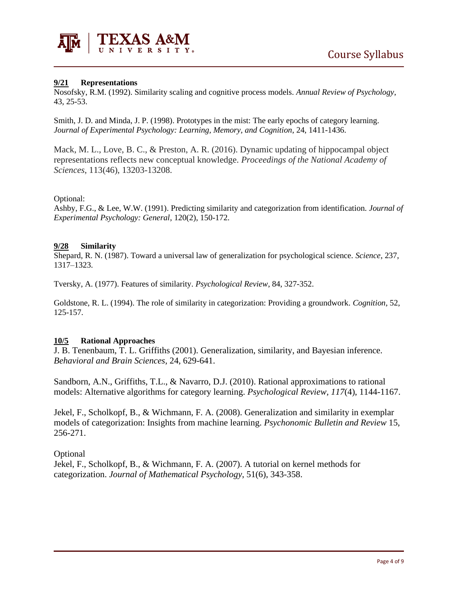

### **9/21 Representations**

Nosofsky, R.M. (1992). Similarity scaling and cognitive process models. *Annual Review of Psychology*, 43, 25-53.

Smith, J. D. and Minda, J. P. (1998). Prototypes in the mist: The early epochs of category learning. *Journal of Experimental Psychology: Learning, Memory, and Cognition*, 24, 1411-1436.

Mack, M. L., Love, B. C., & Preston, A. R. (2016). Dynamic updating of hippocampal object representations reflects new conceptual knowledge. *Proceedings of the National Academy of Sciences*, 113(46), 13203-13208.

### Optional:

Ashby, F.G., & Lee, W.W. (1991). Predicting similarity and categorization from identification. *Journal of Experimental Psychology: General*, 120(2), 150-172.

### **9/28 Similarity**

Shepard, R. N. (1987). Toward a universal law of generalization for psychological science. *Science*, 237, 1317–1323.

Tversky, A. (1977). Features of similarity. *Psychological Review*, 84, 327-352.

Goldstone, R. L. (1994). The role of similarity in categorization: Providing a groundwork. *Cognition*, 52, 125-157.

### **10/5 Rational Approaches**

J. B. Tenenbaum, T. L. Griffiths (2001). Generalization, similarity, and Bayesian inference. *Behavioral and Brain Sciences*, 24, 629-641.

Sandborn, A.N., Griffiths, T.L., & Navarro, D.J. (2010). Rational approximations to rational models: Alternative algorithms for category learning. *Psychological Review, 117*(4), 1144-1167.

Jekel, F., Scholkopf, B., & Wichmann, F. A. (2008). Generalization and similarity in exemplar models of categorization: Insights from machine learning. *Psychonomic Bulletin and Review* 15, 256-271.

**Optional** 

Jekel, F., Scholkopf, B., & Wichmann, F. A. (2007). A tutorial on kernel methods for categorization. *Journal of Mathematical Psychology*, 51(6), 343-358.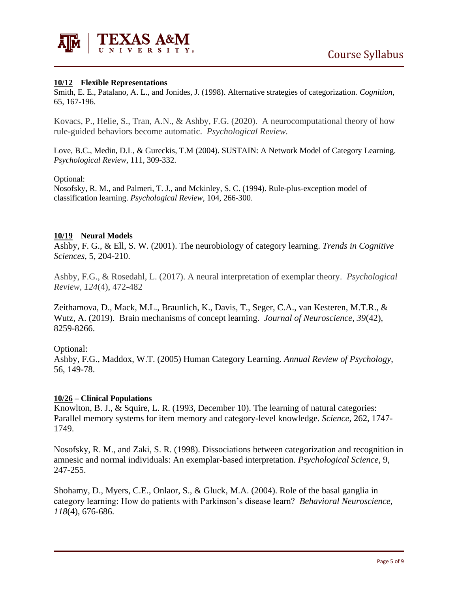

### **10/12 Flexible Representations**

Smith, E. E., Patalano, A. L., and Jonides, J. (1998). Alternative strategies of categorization. *Cognition*, 65, 167-196.

Kovacs, P., Helie, S., Tran, A.N., & Ashby, F.G. (2020). A neurocomputational theory of how rule-guided behaviors become automatic. *Psychological Review.*

Love, B.C., Medin, D.L, & Gureckis, T.M (2004). SUSTAIN: A Network Model of Category Learning. *Psychological Review*, 111, 309-332.

#### Optional:

Nosofsky, R. M., and Palmeri, T. J., and Mckinley, S. C. (1994). Rule-plus-exception model of classification learning. *Psychological Review*, 104, 266-300.

#### **10/19 Neural Models**

Ashby, F. G., & Ell, S. W. (2001). The neurobiology of category learning. *Trends in Cognitive Sciences*, 5, 204-210.

Ashby, F.G., & Rosedahl, L. (2017). A neural interpretation of exemplar theory. *Psychological Review, 124*(4), 472-482

Zeithamova, D., Mack, M.L., Braunlich, K., Davis, T., Seger, C.A., van Kesteren, M.T.R., & Wutz, A. (2019). Brain mechanisms of concept learning. *Journal of Neuroscience, 39*(42), 8259-8266.

Optional:

Ashby, F.G., Maddox, W.T. (2005) Human Category Learning. *Annual Review of Psychology*, 56, 149-78.

### **10/26 – Clinical Populations**

Knowlton, B. J., & Squire, L. R. (1993, December 10). The learning of natural categories: Parallel memory systems for item memory and category-level knowledge. *Science*, 262, 1747- 1749.

Nosofsky, R. M., and Zaki, S. R. (1998). Dissociations between categorization and recognition in amnesic and normal individuals: An exemplar-based interpretation. *Psychological Science*, 9, 247-255.

Shohamy, D., Myers, C.E., Onlaor, S., & Gluck, M.A. (2004). Role of the basal ganglia in category learning: How do patients with Parkinson's disease learn? *Behavioral Neuroscience, 118*(4), 676-686.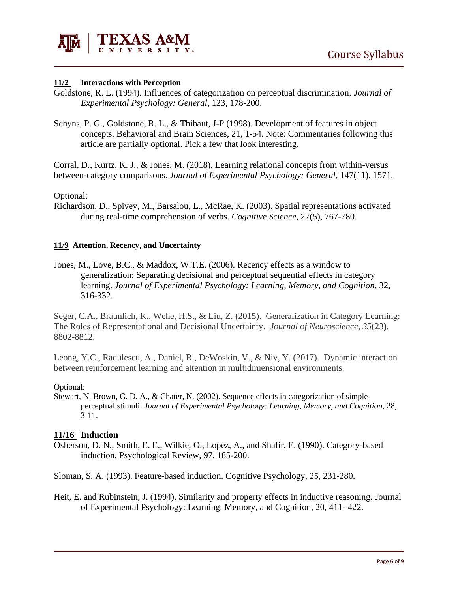

# **11/2 Interactions with Perception**

- Goldstone, R. L. (1994). Influences of categorization on perceptual discrimination. *Journal of Experimental Psychology: General*, 123, 178-200.
- Schyns, P. G., Goldstone, R. L., & Thibaut, J-P (1998). Development of features in object concepts. Behavioral and Brain Sciences, 21, 1-54. Note: Commentaries following this article are partially optional. Pick a few that look interesting.

Corral, D., Kurtz, K. J., & Jones, M. (2018). Learning relational concepts from within-versus between-category comparisons. *Journal of Experimental Psychology: General*, 147(11), 1571.

Optional:

Richardson, D., Spivey, M., Barsalou, L., McRae, K. (2003). Spatial representations activated during real-time comprehension of verbs. *Cognitive Science*, 27(5), 767-780.

### **11/9 Attention, Recency, and Uncertainty**

Jones, M., Love, B.C., & Maddox, W.T.E. (2006). Recency effects as a window to generalization: Separating decisional and perceptual sequential effects in category learning. *Journal of Experimental Psychology: Learning, Memory, and Cognition*, 32, 316-332.

Seger, C.A., Braunlich, K., Wehe, H.S., & Liu, Z. (2015). Generalization in Category Learning: The Roles of Representational and Decisional Uncertainty. *Journal of Neuroscience, 35*(23), 8802-8812.

Leong, Y.C., Radulescu, A., Daniel, R., DeWoskin, V., & Niv, Y. (2017). Dynamic interaction between reinforcement learning and attention in multidimensional environments.

### Optional:

Stewart, N. Brown, G. D. A., & Chater, N. (2002). Sequence effects in categorization of simple perceptual stimuli. *Journal of Experimental Psychology: Learning, Memory, and Cognition*, 28, 3-11.

### **11/16 Induction**

Osherson, D. N., Smith, E. E., Wilkie, O., Lopez, A., and Shafir, E. (1990). Category-based induction. Psychological Review, 97, 185-200.

Sloman, S. A. (1993). Feature-based induction. Cognitive Psychology, 25, 231-280.

Heit, E. and Rubinstein, J. (1994). Similarity and property effects in inductive reasoning. Journal of Experimental Psychology: Learning, Memory, and Cognition, 20, 411- 422.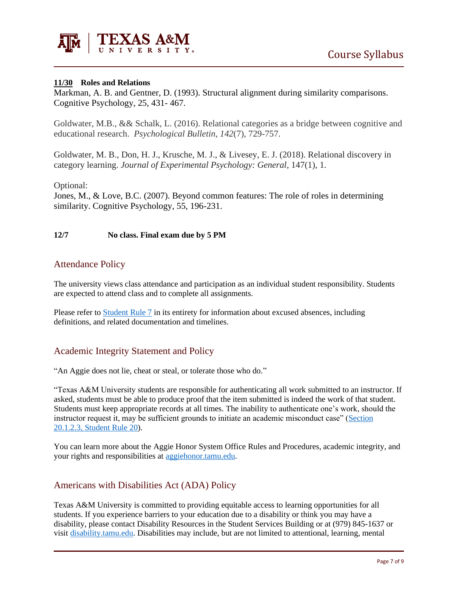

### **11/30 Roles and Relations**

Markman, A. B. and Gentner, D. (1993). Structural alignment during similarity comparisons. Cognitive Psychology, 25, 431- 467.

Goldwater, M.B., && Schalk, L. (2016). Relational categories as a bridge between cognitive and educational research. *Psychological Bulletin, 142*(7), 729-757.

Goldwater, M. B., Don, H. J., Krusche, M. J., & Livesey, E. J. (2018). Relational discovery in category learning. *Journal of Experimental Psychology: General*, 147(1), 1.

Optional:

Jones, M., & Love, B.C. (2007). Beyond common features: The role of roles in determining similarity. Cognitive Psychology, 55, 196-231.

### **12/7 No class. Final exam due by 5 PM**

# Attendance Policy

The university views class attendance and participation as an individual student responsibility. Students are expected to attend class and to complete all assignments.

Please refer to [Student Rule 7](https://student-rules.tamu.edu/rule07/) in its entirety for information about excused absences, including definitions, and related documentation and timelines.

# Academic Integrity Statement and Policy

"An Aggie does not lie, cheat or steal, or tolerate those who do."

"Texas A&M University students are responsible for authenticating all work submitted to an instructor. If asked, students must be able to produce proof that the item submitted is indeed the work of that student. Students must keep appropriate records at all times. The inability to authenticate one's work, should the instructor request it, may be sufficient grounds to initiate an academic misconduct case" [\(Section](https://aggiehonor.tamu.edu/Rules-and-Procedures/Rules/Honor-System-Rules)  [20.1.2.3, Student Rule 20\)](https://aggiehonor.tamu.edu/Rules-and-Procedures/Rules/Honor-System-Rules).

You can learn more about the Aggie Honor System Office Rules and Procedures, academic integrity, and your rights and responsibilities at [aggiehonor.tamu.edu.](https://aggiehonor.tamu.edu/)

# Americans with Disabilities Act (ADA) Policy

Texas A&M University is committed to providing equitable access to learning opportunities for all students. If you experience barriers to your education due to a disability or think you may have a disability, please contact Disability Resources in the Student Services Building or at (979) 845-1637 or visi[t disability.tamu.edu.](https://disability.tamu.edu/) Disabilities may include, but are not limited to attentional, learning, mental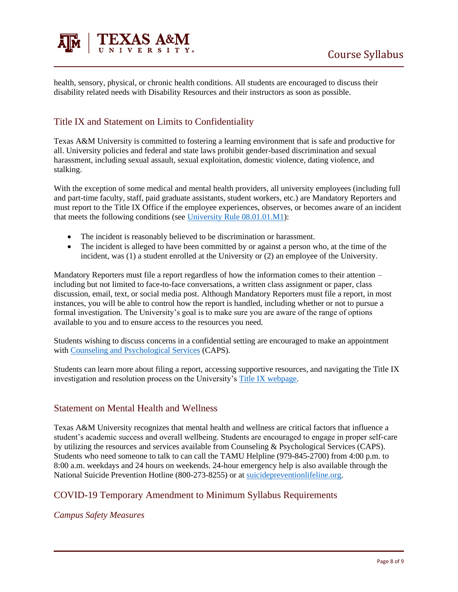

health, sensory, physical, or chronic health conditions. All students are encouraged to discuss their disability related needs with Disability Resources and their instructors as soon as possible.

# Title IX and Statement on Limits to Confidentiality

Texas A&M University is committed to fostering a learning environment that is safe and productive for all. University policies and federal and state laws prohibit gender-based discrimination and sexual harassment, including sexual assault, sexual exploitation, domestic violence, dating violence, and stalking.

With the exception of some medical and mental health providers, all university employees (including full and part-time faculty, staff, paid graduate assistants, student workers, etc.) are Mandatory Reporters and must report to the Title IX Office if the employee experiences, observes, or becomes aware of an incident that meets the following conditions (see [University Rule 08.01.01.M1\)](https://rules-saps.tamu.edu/PDFs/08.01.01.M1.pdf):

- The incident is reasonably believed to be discrimination or harassment.
- The incident is alleged to have been committed by or against a person who, at the time of the incident, was (1) a student enrolled at the University or (2) an employee of the University.

Mandatory Reporters must file a report regardless of how the information comes to their attention – including but not limited to face-to-face conversations, a written class assignment or paper, class discussion, email, text, or social media post. Although Mandatory Reporters must file a report, in most instances, you will be able to control how the report is handled, including whether or not to pursue a formal investigation. The University's goal is to make sure you are aware of the range of options available to you and to ensure access to the resources you need.

Students wishing to discuss concerns in a confidential setting are encouraged to make an appointment with [Counseling and Psychological Services](https://caps.tamu.edu/) (CAPS).

Students can learn more about filing a report, accessing supportive resources, and navigating the Title IX investigation and resolution process on the University's [Title IX webpage.](https://titleix.tamu.edu/)

# Statement on Mental Health and Wellness

Texas A&M University recognizes that mental health and wellness are critical factors that influence a student's academic success and overall wellbeing. Students are encouraged to engage in proper self-care by utilizing the resources and services available from Counseling & Psychological Services (CAPS). Students who need someone to talk to can call the TAMU Helpline (979-845-2700) from 4:00 p.m. to 8:00 a.m. weekdays and 24 hours on weekends. 24-hour emergency help is also available through the National Suicide Prevention Hotline (800-273-8255) or at [suicidepreventionlifeline.org.](https://suicidepreventionlifeline.org/)

# COVID-19 Temporary Amendment to Minimum Syllabus Requirements

## *Campus Safety Measures*